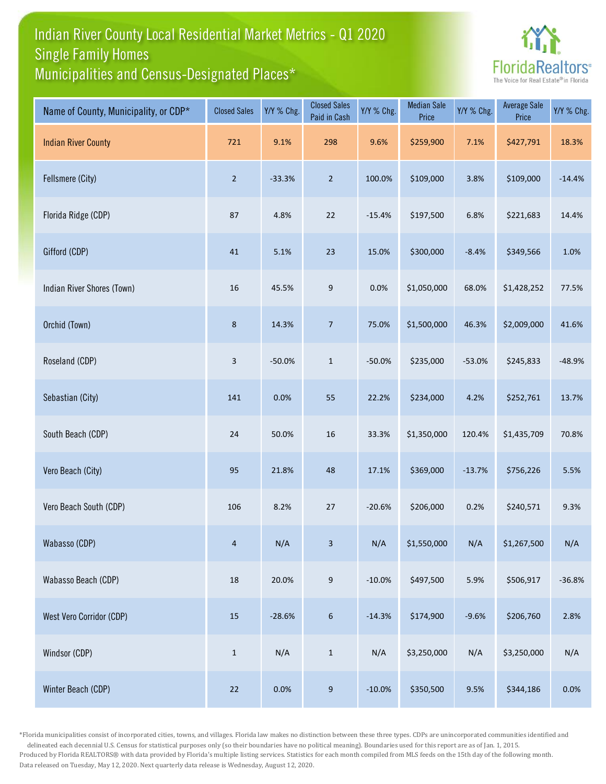## Indian River County Local Residential Market Metrics - Q1 2020 Municipalities and Census-Designated Places\* Single Family Homes



| Name of County, Municipality, or CDP* | <b>Closed Sales</b> | Y/Y % Chg. | <b>Closed Sales</b><br>Paid in Cash | Y/Y % Chg. | <b>Median Sale</b><br>Price | Y/Y % Chg. | <b>Average Sale</b><br>Price | Y/Y % Chg. |
|---------------------------------------|---------------------|------------|-------------------------------------|------------|-----------------------------|------------|------------------------------|------------|
| <b>Indian River County</b>            | 721                 | 9.1%       | 298                                 | 9.6%       | \$259,900                   | 7.1%       | \$427,791                    | 18.3%      |
| Fellsmere (City)                      | $\overline{2}$      | $-33.3%$   | $\overline{2}$                      | 100.0%     | \$109,000                   | 3.8%       | \$109,000                    | $-14.4%$   |
| Florida Ridge (CDP)                   | 87                  | 4.8%       | 22                                  | $-15.4%$   | \$197,500                   | 6.8%       | \$221,683                    | 14.4%      |
| Gifford (CDP)                         | 41                  | 5.1%       | 23                                  | 15.0%      | \$300,000                   | $-8.4%$    | \$349,566                    | 1.0%       |
| Indian River Shores (Town)            | $16\,$              | 45.5%      | 9                                   | 0.0%       | \$1,050,000                 | 68.0%      | \$1,428,252                  | 77.5%      |
| Orchid (Town)                         | $\,$ 8 $\,$         | 14.3%      | $\overline{7}$                      | 75.0%      | \$1,500,000                 | 46.3%      | \$2,009,000                  | 41.6%      |
| Roseland (CDP)                        | $\mathbf{3}$        | $-50.0%$   | $\,1\,$                             | $-50.0%$   | \$235,000                   | $-53.0%$   | \$245,833                    | $-48.9%$   |
| Sebastian (City)                      | 141                 | 0.0%       | 55                                  | 22.2%      | \$234,000                   | 4.2%       | \$252,761                    | 13.7%      |
| South Beach (CDP)                     | 24                  | 50.0%      | 16                                  | 33.3%      | \$1,350,000                 | 120.4%     | \$1,435,709                  | 70.8%      |
| Vero Beach (City)                     | 95                  | 21.8%      | 48                                  | 17.1%      | \$369,000                   | $-13.7%$   | \$756,226                    | 5.5%       |
| Vero Beach South (CDP)                | 106                 | 8.2%       | 27                                  | $-20.6%$   | \$206,000                   | 0.2%       | \$240,571                    | 9.3%       |
| Wabasso (CDP)                         | $\overline{4}$      | N/A        | 3                                   | N/A        | \$1,550,000                 | N/A        | \$1,267,500                  | N/A        |
| Wabasso Beach (CDP)                   | 18                  | 20.0%      | $\boldsymbol{9}$                    | $-10.0%$   | \$497,500                   | 5.9%       | \$506,917                    | $-36.8%$   |
| West Vero Corridor (CDP)              | $15\,$              | $-28.6%$   | $\boldsymbol{6}$                    | $-14.3%$   | \$174,900                   | $-9.6%$    | \$206,760                    | 2.8%       |
| Windsor (CDP)                         | $\,1\,$             | N/A        | $\mathbf 1$                         | N/A        | \$3,250,000                 | N/A        | \$3,250,000                  | N/A        |
| Winter Beach (CDP)                    | 22                  | 0.0%       | $\boldsymbol{9}$                    | $-10.0%$   | \$350,500                   | 9.5%       | \$344,186                    | 0.0%       |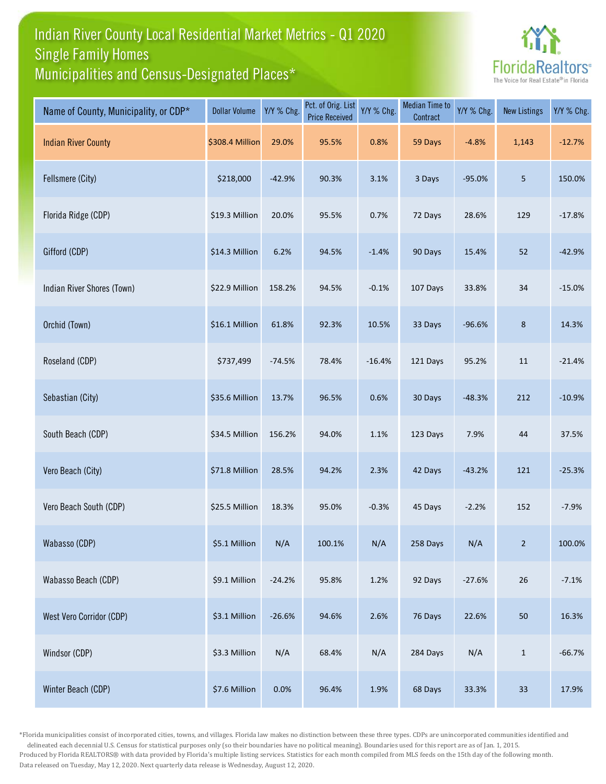## Indian River County Local Residential Market Metrics - Q1 2020 Municipalities and Census-Designated Places\* Single Family Homes



| Name of County, Municipality, or CDP* | <b>Dollar Volume</b> | Y/Y % Chg. | Pct. of Orig. List<br><b>Price Received</b> | Y/Y % Chg. | <b>Median Time to</b><br>Contract | Y/Y % Chg. | <b>New Listings</b> | Y/Y % Chg. |
|---------------------------------------|----------------------|------------|---------------------------------------------|------------|-----------------------------------|------------|---------------------|------------|
| <b>Indian River County</b>            | \$308.4 Million      | 29.0%      | 95.5%                                       | 0.8%       | 59 Days                           | $-4.8%$    | 1,143               | $-12.7%$   |
| Fellsmere (City)                      | \$218,000            | $-42.9%$   | 90.3%                                       | 3.1%       | 3 Days                            | $-95.0%$   | 5                   | 150.0%     |
| Florida Ridge (CDP)                   | \$19.3 Million       | 20.0%      | 95.5%                                       | 0.7%       | 72 Days                           | 28.6%      | 129                 | $-17.8%$   |
| Gifford (CDP)                         | \$14.3 Million       | 6.2%       | 94.5%                                       | $-1.4%$    | 90 Days                           | 15.4%      | 52                  | $-42.9%$   |
| Indian River Shores (Town)            | \$22.9 Million       | 158.2%     | 94.5%                                       | $-0.1%$    | 107 Days                          | 33.8%      | 34                  | $-15.0%$   |
| Orchid (Town)                         | \$16.1 Million       | 61.8%      | 92.3%                                       | 10.5%      | 33 Days                           | $-96.6%$   | 8                   | 14.3%      |
| Roseland (CDP)                        | \$737,499            | $-74.5%$   | 78.4%                                       | $-16.4%$   | 121 Days                          | 95.2%      | 11                  | $-21.4%$   |
| Sebastian (City)                      | \$35.6 Million       | 13.7%      | 96.5%                                       | 0.6%       | 30 Days                           | $-48.3%$   | 212                 | $-10.9%$   |
| South Beach (CDP)                     | \$34.5 Million       | 156.2%     | 94.0%                                       | 1.1%       | 123 Days                          | 7.9%       | 44                  | 37.5%      |
| Vero Beach (City)                     | \$71.8 Million       | 28.5%      | 94.2%                                       | 2.3%       | 42 Days                           | $-43.2%$   | 121                 | $-25.3%$   |
| Vero Beach South (CDP)                | \$25.5 Million       | 18.3%      | 95.0%                                       | $-0.3%$    | 45 Days                           | $-2.2%$    | 152                 | $-7.9%$    |
| Wabasso (CDP)                         | \$5.1 Million        | N/A        | 100.1%                                      | N/A        | 258 Days                          | N/A        | 2                   | 100.0%     |
| Wabasso Beach (CDP)                   | \$9.1 Million        | $-24.2%$   | 95.8%                                       | 1.2%       | 92 Days                           | $-27.6%$   | 26                  | $-7.1%$    |
| West Vero Corridor (CDP)              | \$3.1 Million        | $-26.6%$   | 94.6%                                       | 2.6%       | 76 Days                           | 22.6%      | 50                  | 16.3%      |
| Windsor (CDP)                         | \$3.3 Million        | N/A        | 68.4%                                       | N/A        | 284 Days                          | N/A        | $\mathbf 1$         | $-66.7%$   |
| Winter Beach (CDP)                    | \$7.6 Million        | 0.0%       | 96.4%                                       | 1.9%       | 68 Days                           | 33.3%      | 33                  | 17.9%      |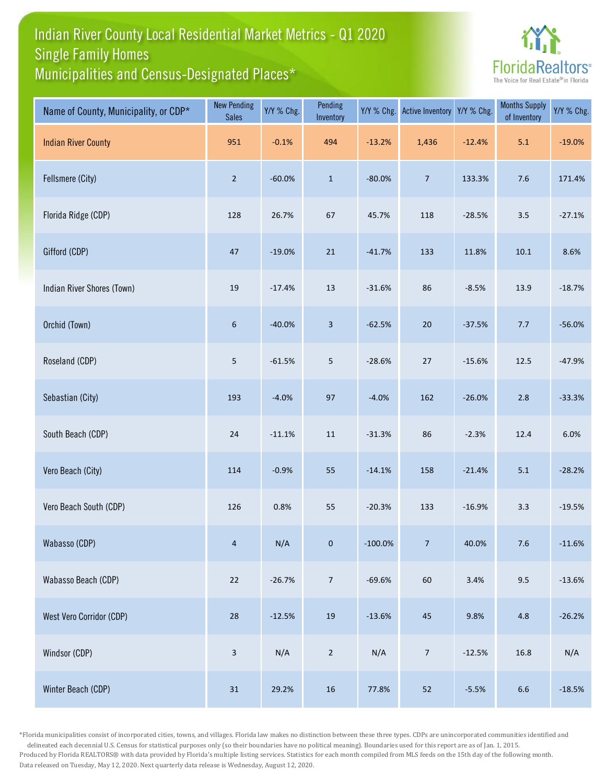## Indian River County Local Residential Market Metrics - Q1 2020 Municipalities and Census-Designated Places\* Single Family Homes



| Name of County, Municipality, or CDP* | <b>New Pending</b><br><b>Sales</b> | Y/Y % Chg. | Pending<br>Inventory | Y/Y % Chg. | <b>Active Inventory</b> | Y/Y % Chg. | <b>Months Supply</b><br>of Inventory | Y/Y % Chg. |
|---------------------------------------|------------------------------------|------------|----------------------|------------|-------------------------|------------|--------------------------------------|------------|
| <b>Indian River County</b>            | 951                                | $-0.1%$    | 494                  | $-13.2%$   | 1,436                   | $-12.4%$   | $5.1\,$                              | $-19.0%$   |
| Fellsmere (City)                      | $\overline{2}$                     | $-60.0%$   | $\mathbf 1$          | $-80.0%$   | $\overline{7}$          | 133.3%     | 7.6                                  | 171.4%     |
| Florida Ridge (CDP)                   | 128                                | 26.7%      | 67                   | 45.7%      | 118                     | $-28.5%$   | 3.5                                  | $-27.1%$   |
| Gifford (CDP)                         | $47\,$                             | $-19.0%$   | 21                   | $-41.7%$   | 133                     | 11.8%      | 10.1                                 | 8.6%       |
| Indian River Shores (Town)            | 19                                 | $-17.4%$   | $13\,$               | $-31.6%$   | 86                      | $-8.5%$    | 13.9                                 | $-18.7%$   |
| Orchid (Town)                         | 6                                  | $-40.0%$   | 3                    | $-62.5%$   | $20\,$                  | $-37.5%$   | 7.7                                  | $-56.0%$   |
| Roseland (CDP)                        | 5                                  | $-61.5%$   | 5                    | $-28.6%$   | 27                      | $-15.6%$   | 12.5                                 | $-47.9%$   |
| Sebastian (City)                      | 193                                | $-4.0%$    | 97                   | $-4.0%$    | 162                     | $-26.0%$   | 2.8                                  | $-33.3%$   |
| South Beach (CDP)                     | 24                                 | $-11.1%$   | $11\,$               | $-31.3%$   | 86                      | $-2.3%$    | 12.4                                 | 6.0%       |
| Vero Beach (City)                     | 114                                | $-0.9%$    | 55                   | $-14.1%$   | 158                     | $-21.4%$   | 5.1                                  | $-28.2%$   |
| Vero Beach South (CDP)                | 126                                | 0.8%       | 55                   | $-20.3%$   | 133                     | $-16.9%$   | 3.3                                  | $-19.5%$   |
| Wabasso (CDP)                         | $\overline{4}$                     | N/A        | $\mathbf{0}$         | $-100.0\%$ | 7 <sup>7</sup>          | 40.0%      | $7.6$                                | $-11.6%$   |
| Wabasso Beach (CDP)                   | $22\,$                             | $-26.7%$   | $\overline{7}$       | $-69.6%$   | 60                      | 3.4%       | 9.5                                  | $-13.6%$   |
| West Vero Corridor (CDP)              | 28                                 | $-12.5%$   | $19\,$               | $-13.6%$   | 45                      | 9.8%       | 4.8                                  | $-26.2%$   |
| Windsor (CDP)                         | $\mathbf{3}$                       | N/A        | $\overline{2}$       | N/A        | $\overline{7}$          | $-12.5%$   | 16.8                                 | N/A        |
| Winter Beach (CDP)                    | $31\,$                             | 29.2%      | $16\,$               | 77.8%      | 52                      | $-5.5%$    | $6.6\,$                              | $-18.5%$   |